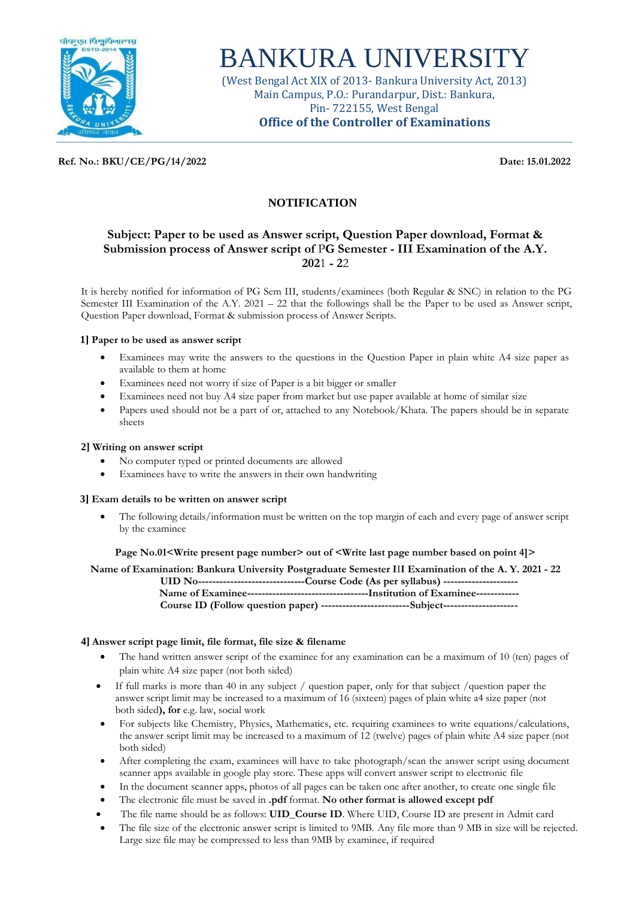

# BANKURA UNIVERSITY

(West Bengal Act XIX of 2013- Bankura University Act, 2013) Main Campus, P.O.: Purandarpur, Dist.: Bankura, Pin- 722155, West Bengal **Office of the Controller of Examinations**

**Ref. No.: BKU/CE/PG/14/2022 Date: 15.01.2022**

## **NOTIFICATION**

## **Subject: Paper to be used as Answer script, Question Paper download, Format & Submission process of Answer script of** P**G Semester - III Examination of the A.Y. 202**1 **- 2**2

It is hereby notified for information of PG Sem III, students/examinees (both Regular & SNC) in relation to the PG Semester III Examination of the A.Y. 2021 – 22 that the followings shall be the Paper to be used as Answer script, Question Paper download, Format & submission process of Answer Scripts.

#### **1] Paper to be used as answer script**

- Examinees may write the answers to the questions in the Question Paper in plain white A4 size paper as available to them at home
- Examinees need not worry if size of Paper is a bit bigger or smaller
- Examinees need not buy A4 size paper from market but use paper available at home of similar size
- Papers used should not be a part of or, attached to any Notebook/Khata. The papers should be in separate sheets

#### **2] Writing on answer script**

- No computer typed or printed documents are allowed
- Examinees have to write the answers in their own handwriting

#### **3] Exam details to be written on answer script**

• The following details/information must be written on the top margin of each and every page of answer script by the examinee

#### **Page No.01<Write present page number> out of <Write last page number based on point 4]>**

**Name of Examination: Bankura University Postgraduate Semester I**I**I Examination of the A. Y. 2021 - 22 UID No------------------------------Course Code (As per syllabus) --------------------- Name of Examinee----------------------------------Institution of Examinee------------ Course ID (Follow question paper) -------------------------Subject---------------------**

### **4] Answer script page limit, file format, file size & filename**

- The hand written answer script of the examinee for any examination can be a maximum of 10 (ten) pages of plain white A4 size paper (not both sided)
- If full marks is more than 40 in any subject / question paper, only for that subject /question paper the answer script limit may be increased to a maximum of 16 (sixteen) pages of plain white a4 size paper (not both sided**), for** e.g. law, social work
- For subjects like Chemistry, Physics, Mathematics, etc. requiring examinees to write equations/calculations, the answer script limit may be increased to a maximum of 12 (twelve) pages of plain white A4 size paper (not both sided)
- After completing the exam, examinees will have to take photograph/scan the answer script using document scanner apps available in google play store. These apps will convert answer script to electronic file
- In the document scanner apps, photos of all pages can be taken one after another, to create one single file
- The electronic file must be saved in **.pdf** format. **No other format is allowed except pdf**
- The file name should be as follows: **UID\_Course ID**. Where UID, Course ID are present in Admit card
- The file size of the electronic answer script is limited to 9MB. Any file more than 9 MB in size will be rejected. Large size file may be compressed to less than 9MB by examinee, if required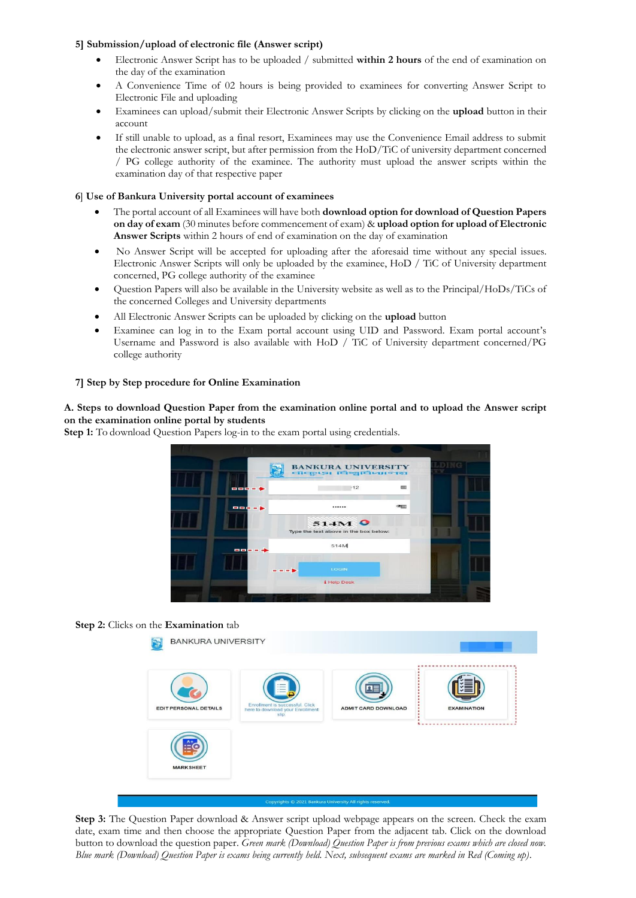#### **5] Submission/upload of electronic file (Answer script)**

- Electronic Answer Script has to be uploaded / submitted **within 2 hours** of the end of examination on the day of the examination
- A Convenience Time of 02 hours is being provided to examinees for converting Answer Script to Electronic File and uploading
- Examinees can upload/submit their Electronic Answer Scripts by clicking on the **upload** button in their account
- If still unable to upload, as a final resort, Examinees may use the Convenience Email address to submit the electronic answer script, but after permission from the HoD/TiC of university department concerned / PG college authority of the examinee. The authority must upload the answer scripts within the examination day of that respective paper

#### **6**] **Use of Bankura University portal account of examinees**

- The portal account of all Examinees will have both **download option for download of Question Papers on day of exam** (30 minutes before commencement of exam) & **upload option for upload of Electronic Answer Scripts** within 2 hours of end of examination on the day of examination
- No Answer Script will be accepted for uploading after the aforesaid time without any special issues. Electronic Answer Scripts will only be uploaded by the examinee, HoD / TiC of University department concerned, PG college authority of the examinee
- Question Papers will also be available in the University website as well as to the Principal/HoDs/TiCs of the concerned Colleges and University departments
- All Electronic Answer Scripts can be uploaded by clicking on the **upload** button
- Examinee can log in to the Exam portal account using UID and Password. Exam portal account's Username and Password is also available with HoD / TiC of University department concerned/PG college authority

#### **7] Step by Step procedure for Online Examination**

**A. Steps to download Question Paper from the examination online portal and to upload the Answer script on the examination online portal by students**

**Step 1:** To download Question Papers log-in to the exam portal using credentials.



#### **Step 2:** Clicks on the **Examination** tab



**Step 3:** The Question Paper download & Answer script upload webpage appears on the screen. Check the exam date, exam time and then choose the appropriate Question Paper from the adjacent tab. Click on the download button to download the question paper. *Green mark (Download) Question Paper is from previous exams which are closed now. Blue mark (Download) Question Paper is exams being currently held. Next, subsequent exams are marked in Red (Coming up).*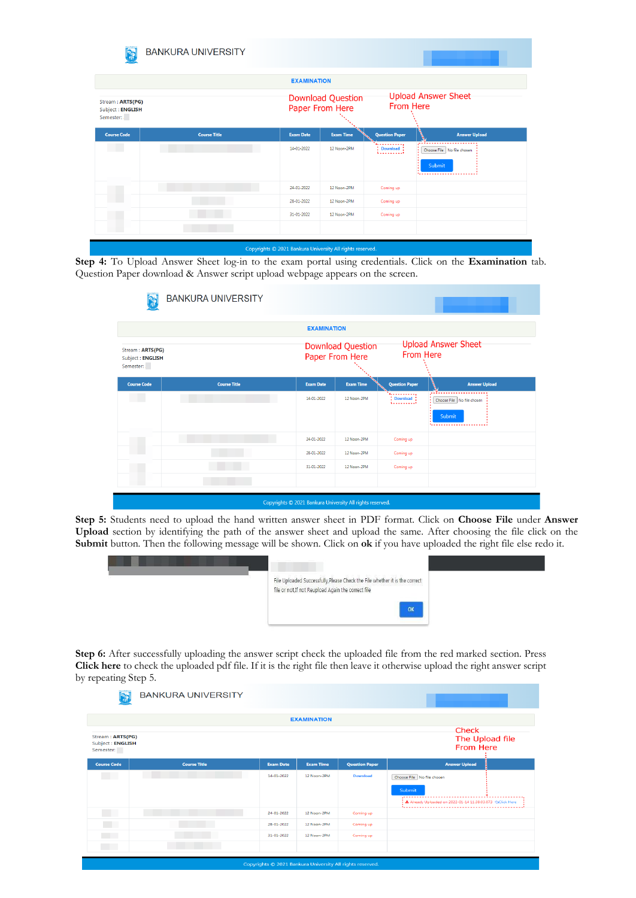| o S                                               | <b>BANKURA UNIVERSITY</b> |                                                           |                                         |                               |                                             |
|---------------------------------------------------|---------------------------|-----------------------------------------------------------|-----------------------------------------|-------------------------------|---------------------------------------------|
|                                                   |                           | <b>EXAMINATION</b>                                        |                                         |                               |                                             |
| Stream: ARTS(PG)<br>Subject: ENGLISH<br>Semester: |                           | <b>Download Question</b><br>Paper From Here               | <b>Upload Answer Sheet</b><br>From Here |                               |                                             |
| <b>Course Code</b>                                | <b>Course Title</b>       | <b>Exam Date</b>                                          | <b>Exam Time</b>                        | <b>Question Paper</b>         | <b>Answer Upload</b>                        |
| <b>Contract Contract</b>                          |                           | 14-01-2022                                                | 12 Noon-2PM                             | .<br>Download :<br><u> 1.</u> | Choose File   No file chosen<br>Submit<br>. |
|                                                   |                           | 24-01-2022                                                | 12 Noon-2PM                             | Coming up                     |                                             |
|                                                   |                           | 28-01-2022                                                | 12 Noon-2PM                             | Coming up                     |                                             |
|                                                   |                           | 31-01-2022                                                | 12 Noon-2PM                             | Coming up                     |                                             |
|                                                   |                           | Copyrights © 2021 Bankura University All rights reserved. |                                         |                               |                                             |

**Step 4:** To Upload Answer Sheet log-in to the exam portal using credentials. Click on the **Examination** tab. Question Paper download & Answer script upload webpage appears on the screen.

|                                                   | <b>BANKURA UNIVERSITY</b> |                                                           |                                             |                                                                                                                                                                                                                                                                                                                                                                                                                                        |                                      |
|---------------------------------------------------|---------------------------|-----------------------------------------------------------|---------------------------------------------|----------------------------------------------------------------------------------------------------------------------------------------------------------------------------------------------------------------------------------------------------------------------------------------------------------------------------------------------------------------------------------------------------------------------------------------|--------------------------------------|
|                                                   |                           | <b>EXAMINATION</b>                                        |                                             |                                                                                                                                                                                                                                                                                                                                                                                                                                        |                                      |
| Stream: ARTS(PG)<br>Subject: ENGLISH<br>Semester: |                           |                                                           | <b>Download Question</b><br>Paper From Here | <b>From Here</b>                                                                                                                                                                                                                                                                                                                                                                                                                       | <b>Upload Answer Sheet</b>           |
| <b>Course Code</b>                                | <b>Course Title</b>       | <b>Exam Date</b>                                          | <b>Exam Time</b>                            | <b>Question Paper</b>                                                                                                                                                                                                                                                                                                                                                                                                                  | <b>Answer Upload</b>                 |
|                                                   |                           | 14-01-2022                                                | 12 Noon-2PM                                 | .<br>$\left\{ \begin{array}{ll} \text{Download} \ \text{.} \ \text{.} \ \text{.} \ \text{.} \ \text{.} \ \text{.} \ \text{.} \ \text{.} \ \text{.} \ \text{.} \ \text{.} \ \text{.} \ \text{.} \ \text{.} \ \text{.} \ \text{.} \ \text{.} \ \text{.} \ \text{.} \ \text{.} \ \text{.} \ \text{.} \ \text{.} \ \text{.} \ \text{.} \ \text{.} \ \text{.} \ \text{.} \ \text{.} \ \text{.} \ \text{.} \ \text{.} \ \text{.} \ \text{.}$ | Choose File No file chosen<br>Submit |
| ۰                                                 |                           | 24-01-2022                                                | 12 Noon-2PM                                 | Coming up                                                                                                                                                                                                                                                                                                                                                                                                                              |                                      |
|                                                   |                           | 28-01-2022                                                | 12 Noon-2PM                                 | Coming up                                                                                                                                                                                                                                                                                                                                                                                                                              |                                      |
|                                                   |                           | 31-01-2022                                                | 12 Noon-2PM                                 | Coming up                                                                                                                                                                                                                                                                                                                                                                                                                              |                                      |
|                                                   |                           |                                                           |                                             |                                                                                                                                                                                                                                                                                                                                                                                                                                        |                                      |
|                                                   |                           | Copyrights © 2021 Bankura University All rights reserved. |                                             |                                                                                                                                                                                                                                                                                                                                                                                                                                        |                                      |

**Step 5:** Students need to upload the hand written answer sheet in PDF format. Click on **Choose File** under **Answer Upload** section by identifying the path of the answer sheet and upload the same. After choosing the file click on the **Submit** button. Then the following message will be shown. Click on **ok** if you have uploaded the right file else redo it.



**Step 6:** After successfully uploading the answer script check the uploaded file from the red marked section. Press **Click here** to check the uploaded pdf file. If it is the right file then leave it otherwise upload the right answer script by repeating Step 5.

|                                                   | <b>BANKURA UNIVERSITY</b> |                  |                                                           |                       |                                                                                  |
|---------------------------------------------------|---------------------------|------------------|-----------------------------------------------------------|-----------------------|----------------------------------------------------------------------------------|
|                                                   |                           |                  | <b>EXAMINATION</b>                                        |                       |                                                                                  |
| Stream: ARTS(PG)<br>Subject: ENGLISH<br>Semester: |                           |                  |                                                           |                       | Check<br>The Upload file<br><b>From Here</b>                                     |
| <b>Course Code</b>                                | <b>Course Title</b>       | <b>Exam Date</b> | <b>Exam Time</b>                                          | <b>Question Paper</b> | <b>Answer Upload</b>                                                             |
| <b>Contract</b>                                   |                           | 14-01-2022       | 12 Noon-2PM                                               | <b>Download</b>       | Choose File   No file chosen                                                     |
|                                                   |                           |                  |                                                           |                       | Submit                                                                           |
|                                                   |                           |                  |                                                           |                       | + & Already Uploaded on 2022-01-14 11:38:03.073 <aclick here<="" td=""></aclick> |
|                                                   |                           | 24-01-2022       | 12 Noon-2PM                                               | Coming up             |                                                                                  |
|                                                   |                           | 28-01-2022       | 12 Noon-2PM                                               | Coming up             |                                                                                  |
|                                                   |                           | 31-01-2022       | 12 Noon-2PM                                               | Coming up             |                                                                                  |
| <b>CONTRACTOR</b>                                 |                           |                  |                                                           |                       |                                                                                  |
|                                                   |                           |                  | Copyrights @ 2021 Bankura University All rights reserved. |                       |                                                                                  |